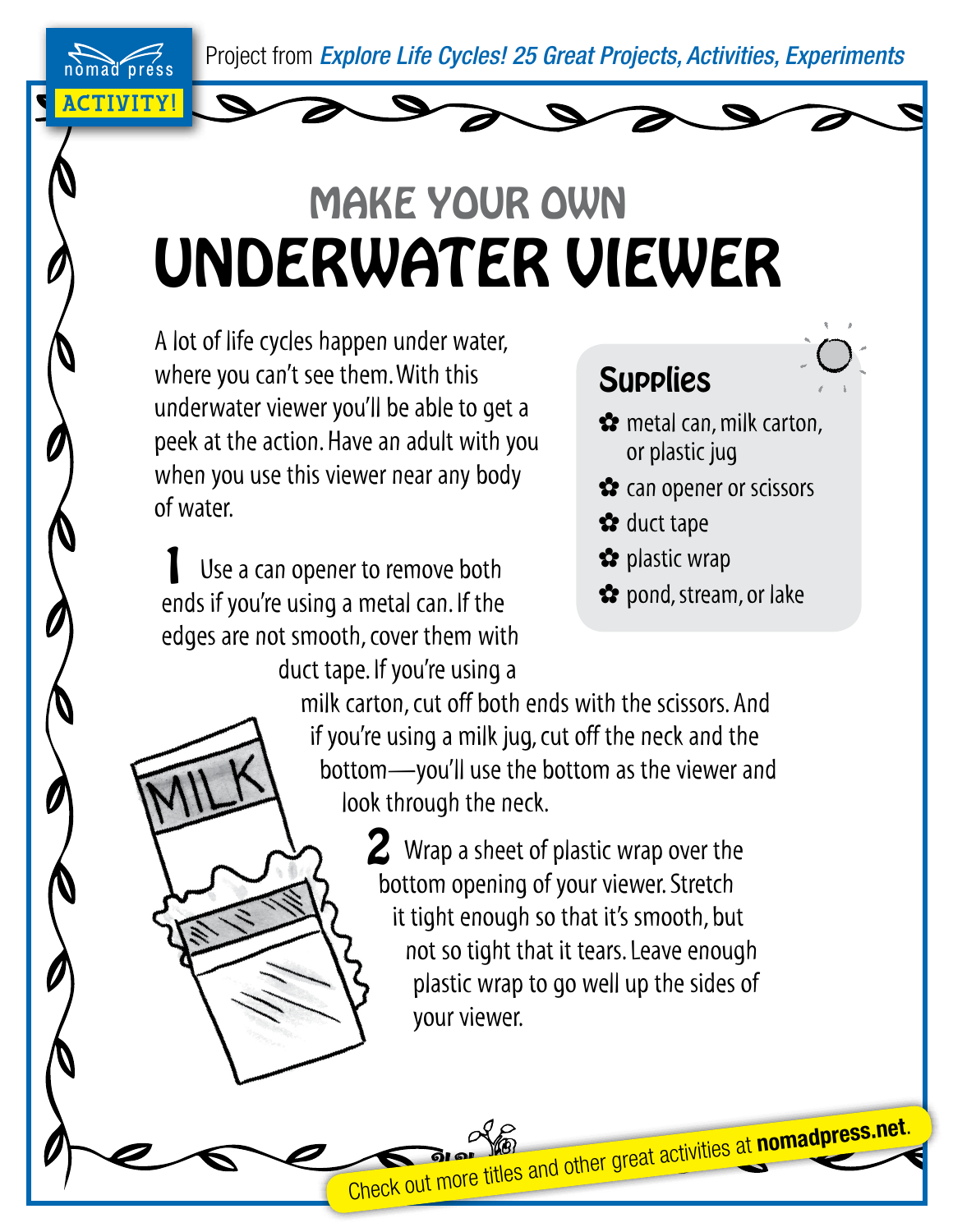Project from *Explore Life Cycles! 25 Great Projects, Activities, Experiments*

## MAKE YOUR OWN UNDERWATER VIEWER

A lot of life cycles happen under water, where you can't see them. With this underwater viewer you'll be able to get a peek at the action. Have an adult with you when you use this viewer near any body of water.

Use a can opener to remove both ends if you're using a metal can. If the edges are not smooth, cover them with duct tape. If you're using a

## **Supplies**

- ✿ metal can, milk carton, or plastic jug
- ✿ can opener or scissors
- ✿ duct tape
- ✿ plastic wrap
- ✿ pond, stream, or lake

milk carton, cut off both ends with the scissors. And if you're using a milk jug, cut off the neck and the bottom—you'll use the bottom as the viewer and look through the neck.

> $2$  Wrap a sheet of plastic wrap over the bottom opening of your viewer. Stretch it tight enough so that it's smooth, but not so tight that it tears. Leave enough plastic wrap to go well up the sides of your viewer.

Check out more titles and other great activities at **nomadpress.net.** 

ACTIVITY!

nomad press